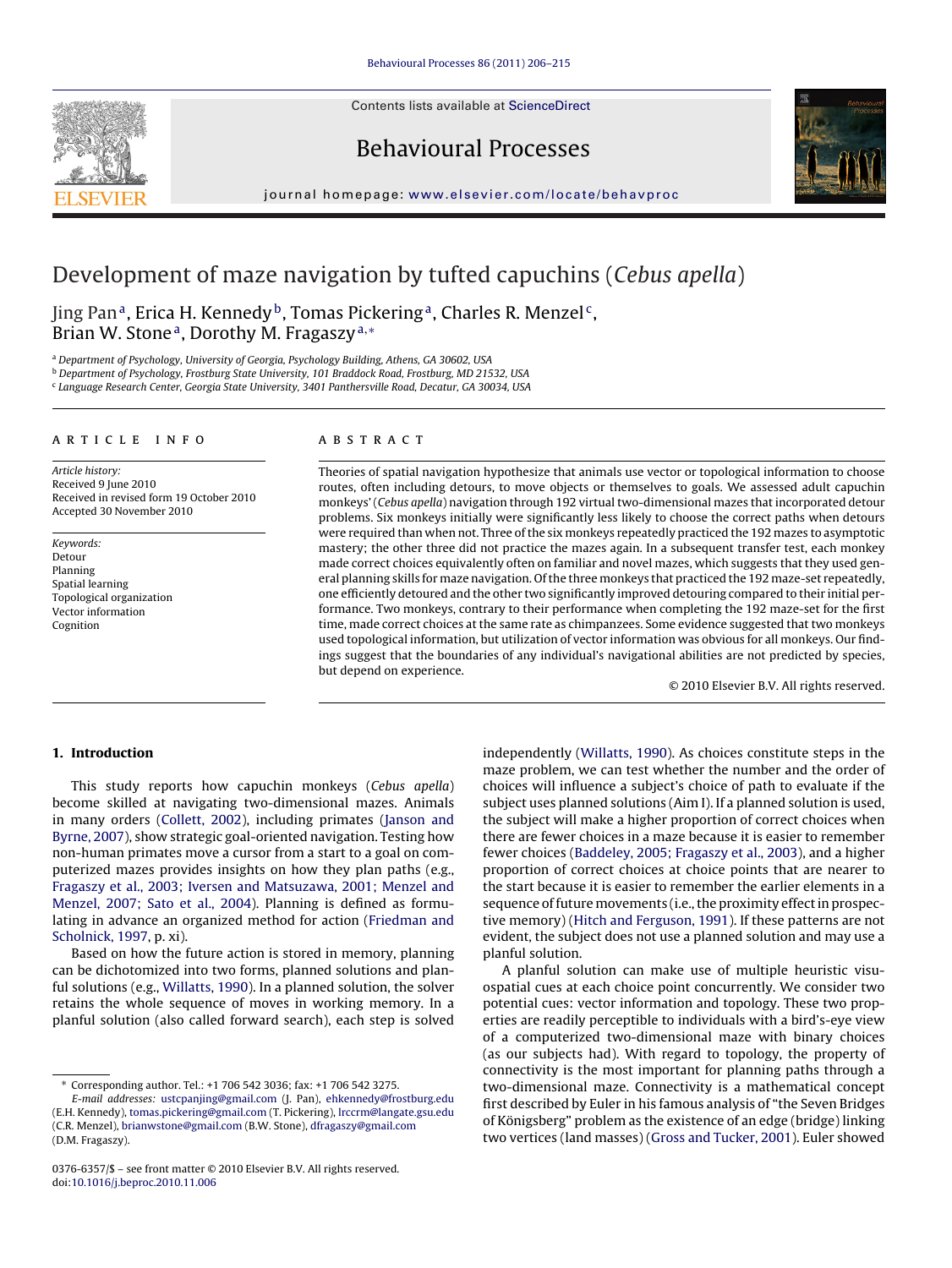Contents lists available at [ScienceDirect](http://www.sciencedirect.com/science/journal/03766357)







journal homepage: [www.elsevier.com/locate/behavproc](http://www.elsevier.com/locate/behavproc)

# Development of maze navigation by tufted capuchins (Cebus apella)

Jing Pan<sup>a</sup>, Erica H. Kennedy<sup>b</sup>, Tomas Pickering<sup>a</sup>, Charles R. Menzel<sup>c</sup>, Brian W. Stone<sup>a</sup>, Dorothy M. Fragaszy<sup>a,∗</sup>

<sup>a</sup> Department of Psychology, University of Georgia, Psychology Building, Athens, GA 30602, USA

<sup>b</sup> Department of Psychology, Frostburg State University, 101 Braddock Road, Frostburg, MD 21532, USA

<sup>c</sup> Language Research Center, Georgia State University, 3401 Panthersville Road, Decatur, GA 30034, USA

#### article info

Article history: Received 9 June 2010 Received in revised form 19 October 2010 Accepted 30 November 2010

Keywords: Detour Planning Spatial learning Topological organization Vector information Cognition

# ABSTRACT

Theories of spatial navigation hypothesize that animals use vector or topological information to choose routes, often including detours, to move objects or themselves to goals. We assessed adult capuchin monkeys' (Cebus apella) navigation through 192 virtual two-dimensional mazes that incorporated detour problems. Six monkeys initially were significantly less likely to choose the correct paths when detours were required than when not. Three of the six monkeys repeatedly practiced the 192 mazes to asymptotic mastery; the other three did not practice the mazes again. In a subsequent transfer test, each monkey made correct choices equivalently often on familiar and novel mazes, which suggests that they used general planning skills for maze navigation. Of the three monkeys that practiced the 192 maze-set repeatedly, one efficiently detoured and the other two significantly improved detouring compared to their initial performance. Two monkeys, contrary to their performance when completing the 192 maze-set for the first time, made correct choices at the same rate as chimpanzees. Some evidence suggested that two monkeys used topological information, but utilization of vector information was obvious for all monkeys. Our findings suggest that the boundaries of any individual's navigational abilities are not predicted by species, but depend on experience.

© 2010 Elsevier B.V. All rights reserved.

# **1. Introduction**

This study reports how capuchin monkeys (Cebus apella) become skilled at navigating two-dimensional mazes. Animals in many orders [\(Collett, 2002\),](#page-9-0) including primates ([Janson and](#page-9-0) [Byrne, 2007\),](#page-9-0) show strategic goal-oriented navigation. Testing how non-human primates move a cursor from a start to a goal on computerized mazes provides insights on how they plan paths (e.g., [Fragaszy et al., 2003; Iversen and Matsuzawa, 2001; Menzel and](#page-9-0) [Menzel, 2007; Sato et al., 2004\).](#page-9-0) Planning is defined as formulating in advance an organized method for action ([Friedman and](#page-9-0) [Scholnick, 1997, p](#page-9-0). xi).

Based on how the future action is stored in memory, planning can be dichotomized into two forms, planned solutions and planful solutions (e.g., [Willatts, 1990\).](#page-9-0) In a planned solution, the solver retains the whole sequence of moves in working memory. In a planful solution (also called forward search), each step is solved independently [\(Willatts, 1990\).](#page-9-0) As choices constitute steps in the maze problem, we can test whether the number and the order of choices will influence a subject's choice of path to evaluate if the subject uses planned solutions (Aim I). If a planned solution is used, the subject will make a higher proportion of correct choices when there are fewer choices in a maze because it is easier to remember fewer choices ([Baddeley, 2005; Fragaszy et al., 2003\),](#page-9-0) and a higher proportion of correct choices at choice points that are nearer to the start because it is easier to remember the earlier elements in a sequence of future movements (i.e., the proximity effect in prospective memory) [\(Hitch and Ferguson, 1991\).](#page-9-0) If these patterns are not evident, the subject does not use a planned solution and may use a planful solution.

A planful solution can make use of multiple heuristic visuospatial cues at each choice point concurrently. We consider two potential cues: vector information and topology. These two properties are readily perceptible to individuals with a bird's-eye view of a computerized two-dimensional maze with binary choices (as our subjects had). With regard to topology, the property of connectivity is the most important for planning paths through a two-dimensional maze. Connectivity is a mathematical concept first described by Euler in his famous analysis of "the Seven Bridges of Königsberg" problem as the existence of an edge (bridge) linking two vertices (land masses) [\(Gross and Tucker, 2001\).](#page-9-0) Euler showed

<sup>∗</sup> Corresponding author. Tel.: +1 706 542 3036; fax: +1 706 542 3275.

E-mail addresses: [ustcpanjing@gmail.com](mailto:ustcpanjing@gmail.com) (J. Pan), [ehkennedy@frostburg.edu](mailto:ehkennedy@frostburg.edu) (E.H. Kennedy), [tomas.pickering@gmail.com](mailto:tomas.pickering@gmail.com) (T. Pickering), [lrccrm@langate.gsu.edu](mailto:lrccrm@langate.gsu.edu) (C.R. Menzel), [brianwstone@gmail.com](mailto:brianwstone@gmail.com) (B.W. Stone), [dfragaszy@gmail.com](mailto:dfragaszy@gmail.com) (D.M. Fragaszy).

<sup>0376-6357/\$ –</sup> see front matter © 2010 Elsevier B.V. All rights reserved. doi:[10.1016/j.beproc.2010.11.006](dx.doi.org/10.1016/j.beproc.2010.11.006)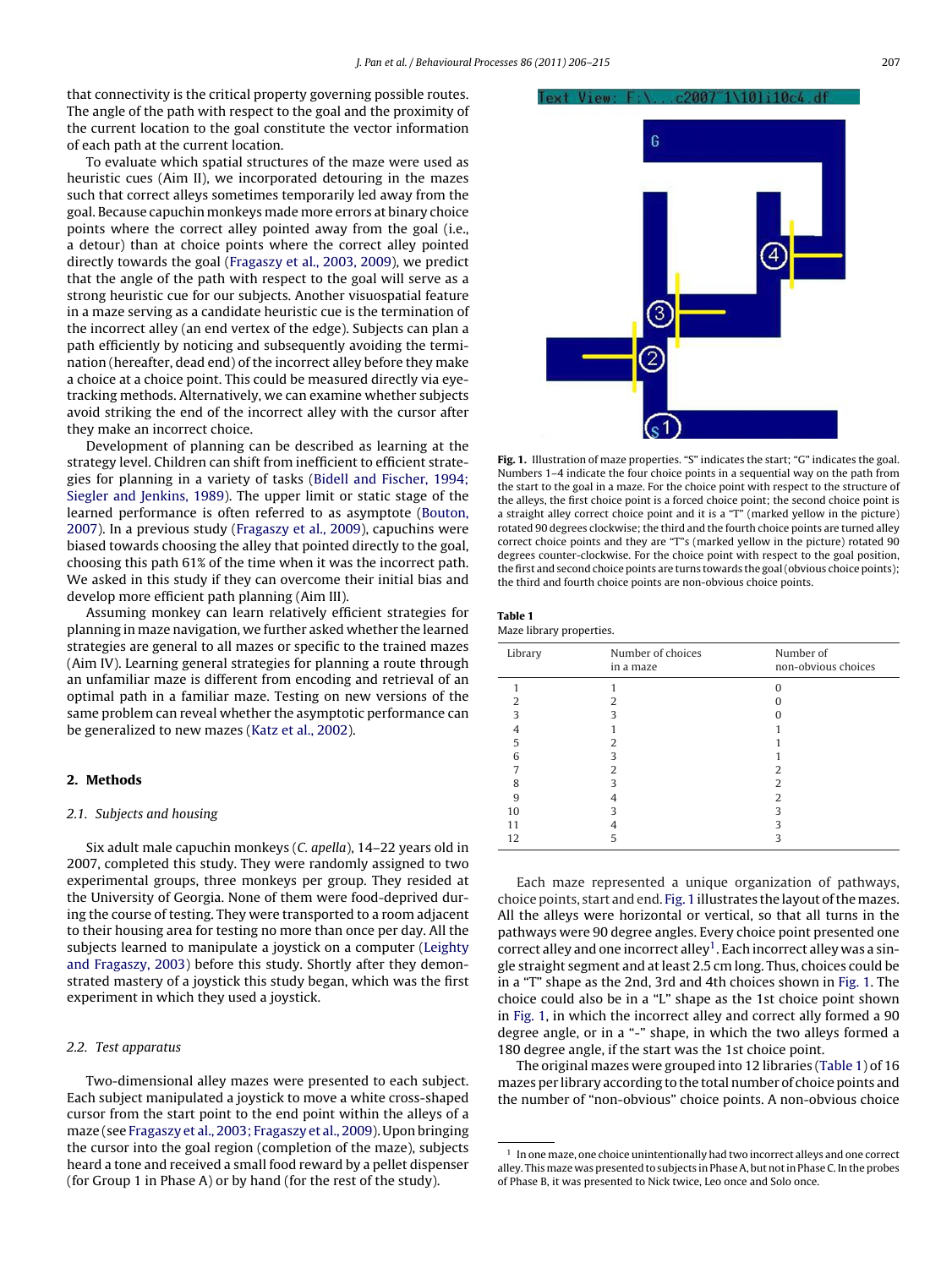<span id="page-1-0"></span>that connectivity is the critical property governing possible routes. The angle of the path with respect to the goal and the proximity of the current location to the goal constitute the vector information of each path at the current location.

To evaluate which spatial structures of the maze were used as heuristic cues (Aim II), we incorporated detouring in the mazes such that correct alleys sometimes temporarily led away from the goal. Because capuchin monkeys made more errors at binary choice points where the correct alley pointed away from the goal (i.e., a detour) than at choice points where the correct alley pointed directly towards the goal ([Fragaszy et al., 2003, 2009\),](#page-9-0) we predict that the angle of the path with respect to the goal will serve as a strong heuristic cue for our subjects. Another visuospatial feature in a maze serving as a candidate heuristic cue is the termination of the incorrect alley (an end vertex of the edge). Subjects can plan a path efficiently by noticing and subsequently avoiding the termination (hereafter, dead end) of the incorrect alley before they make a choice at a choice point. This could be measured directly via eyetracking methods. Alternatively, we can examine whether subjects avoid striking the end of the incorrect alley with the cursor after they make an incorrect choice.

Development of planning can be described as learning at the strategy level. Children can shift from inefficient to efficient strategies for planning in a variety of tasks [\(Bidell and Fischer, 1994;](#page-9-0) [Siegler and Jenkins, 1989\).](#page-9-0) The upper limit or static stage of the learned performance is often referred to as asymptote [\(Bouton,](#page-9-0) [2007\).](#page-9-0) In a previous study ([Fragaszy et al., 2009\),](#page-9-0) capuchins were biased towards choosing the alley that pointed directly to the goal, choosing this path 61% of the time when it was the incorrect path. We asked in this study if they can overcome their initial bias and develop more efficient path planning (Aim III).

Assuming monkey can learn relatively efficient strategies for planning in maze navigation, we further asked whether the learned strategies are general to all mazes or specific to the trained mazes (Aim IV). Learning general strategies for planning a route through an unfamiliar maze is different from encoding and retrieval of an optimal path in a familiar maze. Testing on new versions of the same problem can reveal whether the asymptotic performance can be generalized to new mazes [\(Katz et al., 2002\).](#page-9-0)

# **2. Methods**

#### 2.1. Subjects and housing

Six adult male capuchin monkeys (C. apella), 14–22 years old in 2007, completed this study. They were randomly assigned to two experimental groups, three monkeys per group. They resided at the University of Georgia. None of them were food-deprived during the course of testing. They were transported to a room adjacent to their housing area for testing no more than once per day. All the subjects learned to manipulate a joystick on a computer [\(Leighty](#page-9-0) [and Fragaszy, 2003\)](#page-9-0) before this study. Shortly after they demonstrated mastery of a joystick this study began, which was the first experiment in which they used a joystick.

#### 2.2. Test apparatus

Two-dimensional alley mazes were presented to each subject. Each subject manipulated a joystick to move a white cross-shaped cursor from the start point to the end point within the alleys of a maze (see [Fragaszy et al., 2003; Fragaszy et al., 2009\).](#page-9-0) Upon bringing the cursor into the goal region (completion of the maze), subjects heard a tone and received a small food reward by a pellet dispenser (for Group 1 in Phase A) or by hand (for the rest of the study).



**Fig. 1.** Illustration of maze properties. "S" indicates the start; "G" indicates the goal. Numbers 1–4 indicate the four choice points in a sequential way on the path from the start to the goal in a maze. For the choice point with respect to the structure of the alleys, the first choice point is a forced choice point; the second choice point is a straight alley correct choice point and it is a "T" (marked yellow in the picture) rotated 90 degrees clockwise; the third and the fourth choice points are turned alley correct choice points and they are "T"s (marked yellow in the picture) rotated 90 degrees counter-clockwise. For the choice point with respect to the goal position, the first and second choice points are turns towards the goal (obvious choice points); the third and fourth choice points are non-obvious choice points.

| Table 1 |                          |  |
|---------|--------------------------|--|
|         | Maze library properties. |  |

| Library | Number of choices<br>in a maze | Number of<br>non-obvious choices |
|---------|--------------------------------|----------------------------------|
|         |                                |                                  |
|         |                                |                                  |
|         |                                |                                  |
|         |                                |                                  |
| 5       |                                |                                  |
| 6       |                                |                                  |
|         |                                |                                  |
| 8       |                                |                                  |
| 9       |                                |                                  |
| 10      |                                |                                  |
| 11      |                                |                                  |
| 12      | 5                              |                                  |

Each maze represented a unique organization of pathways, choice points, start and end. Fig. 1 illustrates the layout of themazes. All the alleys were horizontal or vertical, so that all turns in the pathways were 90 degree angles. Every choice point presented one correct alley and one incorrect alley<sup>1</sup>. Each incorrect alley was a single straight segment and at least 2.5 cm long. Thus, choices could be in a "T" shape as the 2nd, 3rd and 4th choices shown in Fig. 1. The choice could also be in a "L" shape as the 1st choice point shown in Fig. 1, in which the incorrect alley and correct ally formed a 90 degree angle, or in a "-" shape, in which the two alleys formed a 180 degree angle, if the start was the 1st choice point.

The original mazes were grouped into 12 libraries (Table 1) of 16 mazes per library according to the total number of choice points and the number of "non-obvious" choice points. A non-obvious choice

 $^{\rm 1}$  In one maze, one choice unintentionally had two incorrect alleys and one correct alley. Thismaze was presented to subjects in Phase A, but not in Phase C. In the probes of Phase B, it was presented to Nick twice, Leo once and Solo once.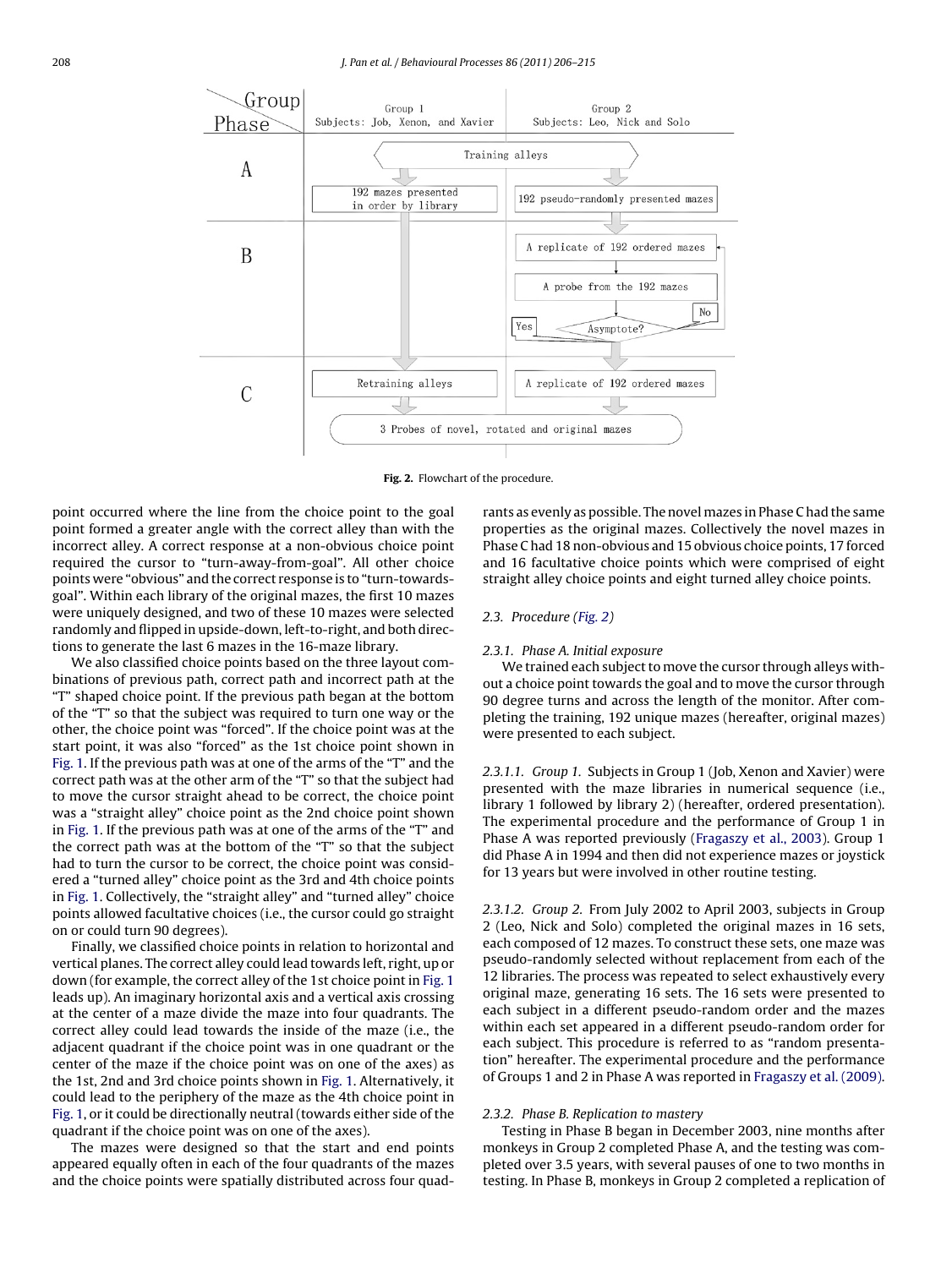<span id="page-2-0"></span>

**Fig. 2.** Flowchart of the procedure.

point occurred where the line from the choice point to the goal point formed a greater angle with the correct alley than with the incorrect alley. A correct response at a non-obvious choice point required the cursor to "turn-away-from-goal". All other choice points were "obvious" and the correct response is to "turn-towardsgoal". Within each library of the original mazes, the first 10 mazes were uniquely designed, and two of these 10 mazes were selected randomly and flipped in upside-down, left-to-right, and both directions to generate the last 6 mazes in the 16-maze library.

We also classified choice points based on the three layout combinations of previous path, correct path and incorrect path at the "T" shaped choice point. If the previous path began at the bottom of the "T" so that the subject was required to turn one way or the other, the choice point was "forced". If the choice point was at the start point, it was also "forced" as the 1st choice point shown in [Fig. 1. I](#page-1-0)f the previous path was at one of the arms of the "T" and the correct path was at the other arm of the "T" so that the subject had to move the cursor straight ahead to be correct, the choice point was a "straight alley" choice point as the 2nd choice point shown in [Fig. 1. I](#page-1-0)f the previous path was at one of the arms of the "T" and the correct path was at the bottom of the "T" so that the subject had to turn the cursor to be correct, the choice point was considered a "turned alley" choice point as the 3rd and 4th choice points in [Fig. 1. C](#page-1-0)ollectively, the "straight alley" and "turned alley" choice points allowed facultative choices (i.e., the cursor could go straight on or could turn 90 degrees).

Finally, we classified choice points in relation to horizontal and vertical planes. The correct alley could lead towards left, right, up or down (for example, the correct alley of the 1st choice point in [Fig. 1](#page-1-0) leads up). An imaginary horizontal axis and a vertical axis crossing at the center of a maze divide the maze into four quadrants. The correct alley could lead towards the inside of the maze (i.e., the adjacent quadrant if the choice point was in one quadrant or the center of the maze if the choice point was on one of the axes) as the 1st, 2nd and 3rd choice points shown in [Fig. 1. A](#page-1-0)lternatively, it could lead to the periphery of the maze as the 4th choice point in [Fig. 1, o](#page-1-0)r it could be directionally neutral (towards either side of the quadrant if the choice point was on one of the axes).

The mazes were designed so that the start and end points appeared equally often in each of the four quadrants of the mazes and the choice points were spatially distributed across four quadrants as evenly as possible. The novel mazes in Phase C had the same properties as the original mazes. Collectively the novel mazes in Phase C had 18 non-obvious and 15 obvious choice points, 17 forced and 16 facultative choice points which were comprised of eight straight alley choice points and eight turned alley choice points.

# 2.3. Procedure (Fig. 2)

# 2.3.1. Phase A. Initial exposure

We trained each subject to move the cursor through alleys without a choice point towards the goal and to move the cursor through 90 degree turns and across the length of the monitor. After completing the training, 192 unique mazes (hereafter, original mazes) were presented to each subject.

2.3.1.1. Group 1. Subjects in Group 1 (Job, Xenon and Xavier) were presented with the maze libraries in numerical sequence (i.e., library 1 followed by library 2) (hereafter, ordered presentation). The experimental procedure and the performance of Group 1 in Phase A was reported previously [\(Fragaszy et al., 2003\).](#page-9-0) Group 1 did Phase A in 1994 and then did not experience mazes or joystick for 13 years but were involved in other routine testing.

2.3.1.2. Group 2. From July 2002 to April 2003, subjects in Group 2 (Leo, Nick and Solo) completed the original mazes in 16 sets, each composed of 12 mazes. To construct these sets, one maze was pseudo-randomly selected without replacement from each of the 12 libraries. The process was repeated to select exhaustively every original maze, generating 16 sets. The 16 sets were presented to each subject in a different pseudo-random order and the mazes within each set appeared in a different pseudo-random order for each subject. This procedure is referred to as "random presentation" hereafter. The experimental procedure and the performance of Groups 1 and 2 in Phase A was reported in [Fragaszy et al. \(2009\).](#page-9-0)

## 2.3.2. Phase B. Replication to mastery

Testing in Phase B began in December 2003, nine months after monkeys in Group 2 completed Phase A, and the testing was completed over 3.5 years, with several pauses of one to two months in testing. In Phase B, monkeys in Group 2 completed a replication of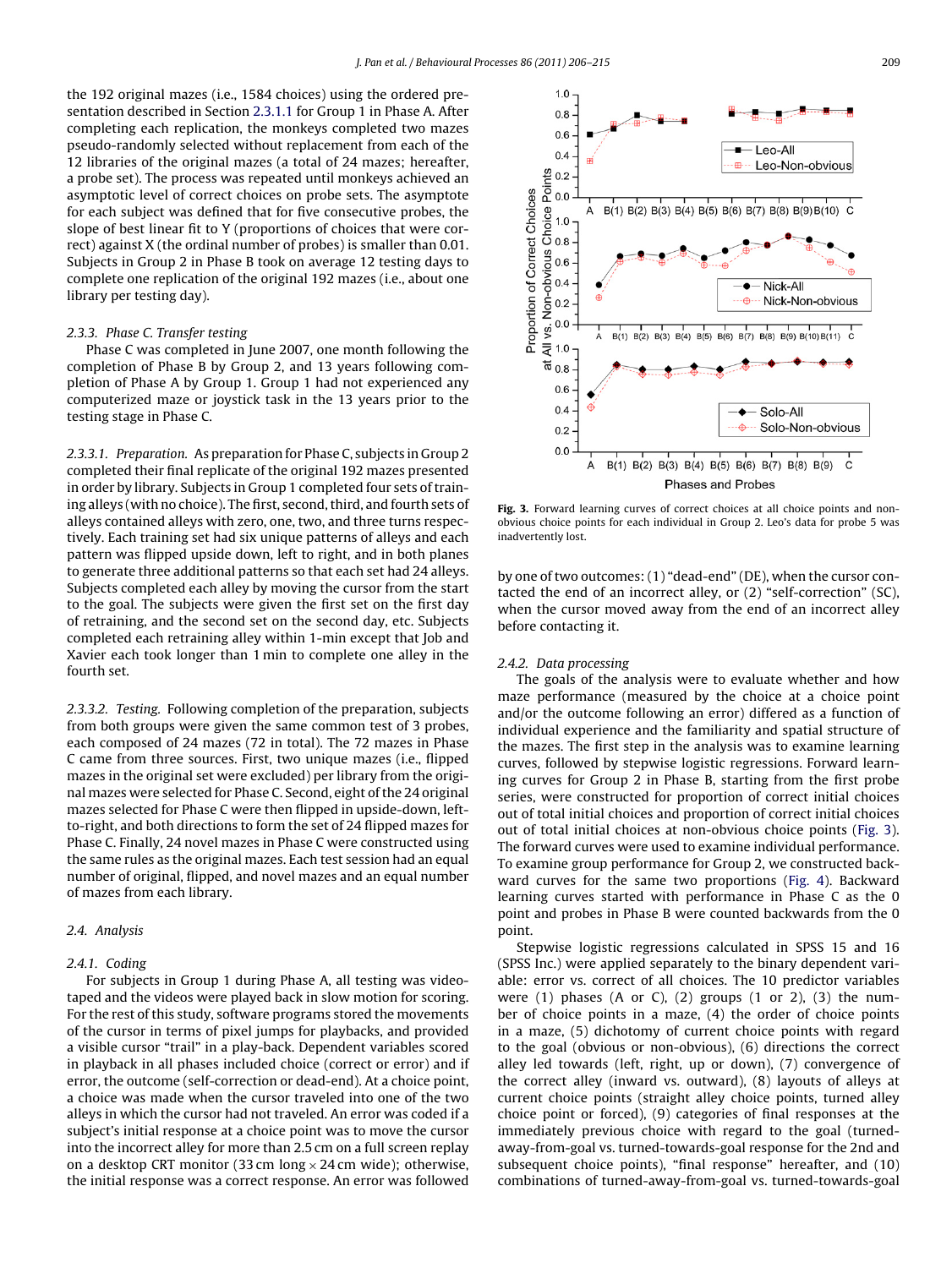the 192 original mazes (i.e., 1584 choices) using the ordered presentation described in Section [2.3.1.1](#page-2-0) for Group 1 in Phase A. After completing each replication, the monkeys completed two mazes pseudo-randomly selected without replacement from each of the 12 libraries of the original mazes (a total of 24 mazes; hereafter, a probe set). The process was repeated until monkeys achieved an asymptotic level of correct choices on probe sets. The asymptote for each subject was defined that for five consecutive probes, the slope of best linear fit to Y (proportions of choices that were correct) against X (the ordinal number of probes) is smaller than 0.01. Subjects in Group 2 in Phase B took on average 12 testing days to complete one replication of the original 192 mazes (i.e., about one library per testing day).

#### 2.3.3. Phase C. Transfer testing

Phase C was completed in June 2007, one month following the completion of Phase B by Group 2, and 13 years following completion of Phase A by Group 1. Group 1 had not experienced any computerized maze or joystick task in the 13 years prior to the testing stage in Phase C.

2.3.3.1. Preparation. As preparation for Phase C, subjects in Group 2 completed their final replicate of the original 192 mazes presented in order by library. Subjects in Group 1 completed four sets of training alleys (with no choice). The first, second, third, and fourth sets of alleys contained alleys with zero, one, two, and three turns respectively. Each training set had six unique patterns of alleys and each pattern was flipped upside down, left to right, and in both planes to generate three additional patterns so that each set had 24 alleys. Subjects completed each alley by moving the cursor from the start to the goal. The subjects were given the first set on the first day of retraining, and the second set on the second day, etc. Subjects completed each retraining alley within 1-min except that Job and Xavier each took longer than 1 min to complete one alley in the fourth set.

2.3.3.2. Testing. Following completion of the preparation, subjects from both groups were given the same common test of 3 probes, each composed of 24 mazes (72 in total). The 72 mazes in Phase C came from three sources. First, two unique mazes (i.e., flipped mazes in the original set were excluded) per library from the original mazes were selected for Phase C. Second, eight of the 24 original mazes selected for Phase C were then flipped in upside-down, leftto-right, and both directions to form the set of 24 flipped mazes for Phase C. Finally, 24 novel mazes in Phase C were constructed using the same rules as the original mazes. Each test session had an equal number of original, flipped, and novel mazes and an equal number of mazes from each library.

### 2.4. Analysis

#### 2.4.1. Coding

For subjects in Group 1 during Phase A, all testing was videotaped and the videos were played back in slow motion for scoring. For the rest of this study, software programs stored the movements of the cursor in terms of pixel jumps for playbacks, and provided a visible cursor "trail" in a play-back. Dependent variables scored in playback in all phases included choice (correct or error) and if error, the outcome (self-correction or dead-end). At a choice point, a choice was made when the cursor traveled into one of the two alleys in which the cursor had not traveled. An error was coded if a subject's initial response at a choice point was to move the cursor into the incorrect alley for more than 2.5 cm on a full screen replay on a desktop CRT monitor (33 cm long  $\times$  24 cm wide); otherwise, the initial response was a correct response. An error was followed



**Fig. 3.** Forward learning curves of correct choices at all choice points and nonobvious choice points for each individual in Group 2. Leo's data for probe 5 was inadvertently lost.

by one of two outcomes: (1) "dead-end" (DE), when the cursor contacted the end of an incorrect alley, or (2) "self-correction" (SC), when the cursor moved away from the end of an incorrect alley before contacting it.

## 2.4.2. Data processing

The goals of the analysis were to evaluate whether and how maze performance (measured by the choice at a choice point and/or the outcome following an error) differed as a function of individual experience and the familiarity and spatial structure of the mazes. The first step in the analysis was to examine learning curves, followed by stepwise logistic regressions. Forward learning curves for Group 2 in Phase B, starting from the first probe series, were constructed for proportion of correct initial choices out of total initial choices and proportion of correct initial choices out of total initial choices at non-obvious choice points (Fig. 3). The forward curves were used to examine individual performance. To examine group performance for Group 2, we constructed backward curves for the same two proportions ([Fig. 4\).](#page-4-0) Backward learning curves started with performance in Phase C as the 0 point and probes in Phase B were counted backwards from the 0 point.

Stepwise logistic regressions calculated in SPSS 15 and 16 (SPSS Inc.) were applied separately to the binary dependent variable: error vs. correct of all choices. The 10 predictor variables were  $(1)$  phases  $(A \text{ or } C)$ ,  $(2)$  groups  $(1 \text{ or } 2)$ ,  $(3)$  the number of choice points in a maze, (4) the order of choice points in a maze, (5) dichotomy of current choice points with regard to the goal (obvious or non-obvious), (6) directions the correct alley led towards (left, right, up or down), (7) convergence of the correct alley (inward vs. outward), (8) layouts of alleys at current choice points (straight alley choice points, turned alley choice point or forced), (9) categories of final responses at the immediately previous choice with regard to the goal (turnedaway-from-goal vs. turned-towards-goal response for the 2nd and subsequent choice points), "final response" hereafter, and (10) combinations of turned-away-from-goal vs. turned-towards-goal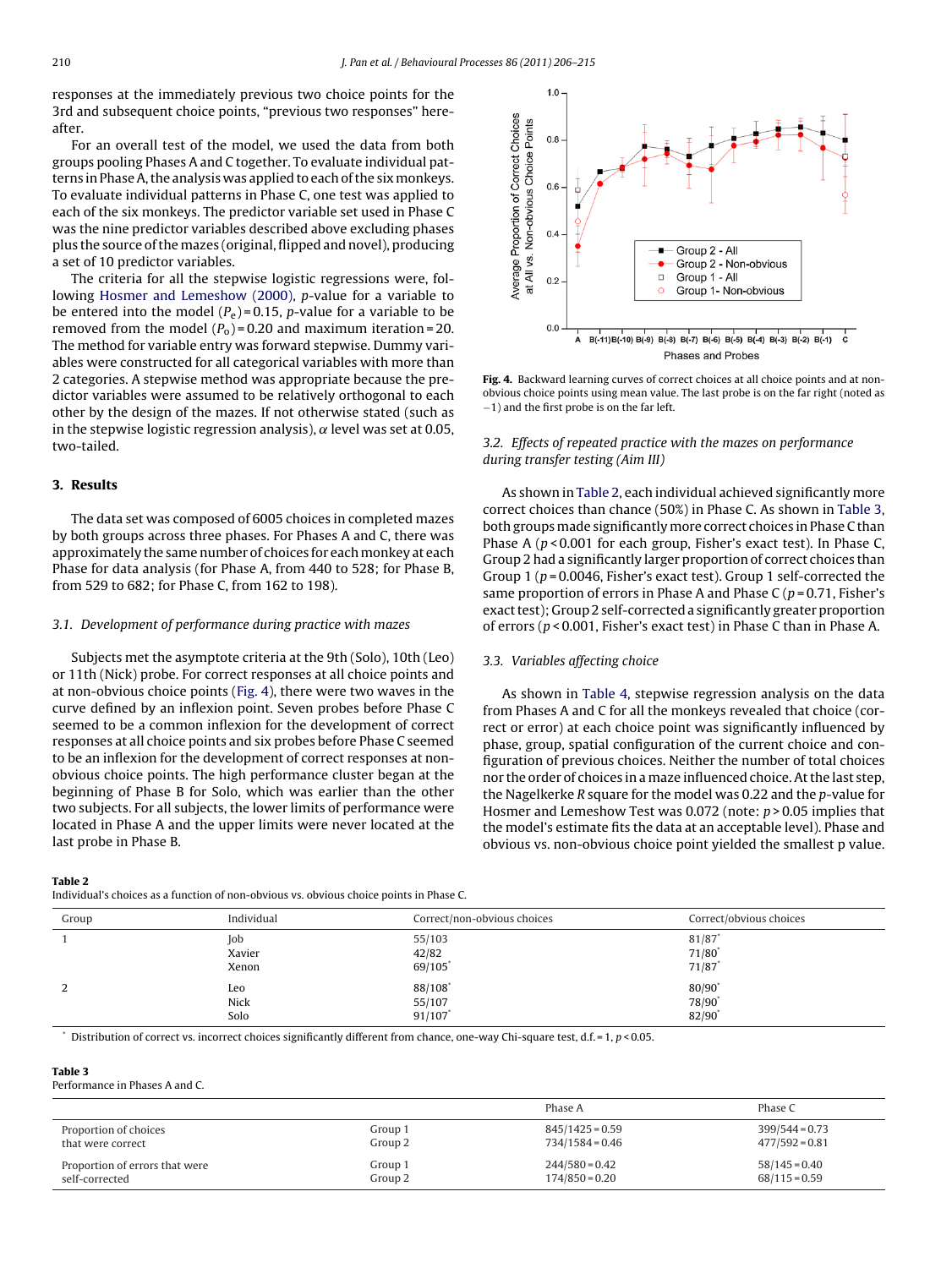<span id="page-4-0"></span>responses at the immediately previous two choice points for the 3rd and subsequent choice points, "previous two responses" hereafter.

For an overall test of the model, we used the data from both groups pooling Phases A and C together. To evaluate individual patterns in Phase A, the analysis was applied to each of the six monkeys. To evaluate individual patterns in Phase C, one test was applied to each of the six monkeys. The predictor variable set used in Phase C was the nine predictor variables described above excluding phases plus the source of the mazes (original, flipped and novel), producing a set of 10 predictor variables.

The criteria for all the stepwise logistic regressions were, following [Hosmer and Lemeshow \(2000\),](#page-9-0) p-value for a variable to be entered into the model  $(P_e) = 0.15$ , p-value for a variable to be removed from the model  $(P_0)$  = 0.20 and maximum iteration = 20. The method for variable entry was forward stepwise. Dummy variables were constructed for all categorical variables with more than 2 categories. A stepwise method was appropriate because the predictor variables were assumed to be relatively orthogonal to each other by the design of the mazes. If not otherwise stated (such as in the stepwise logistic regression analysis),  $\alpha$  level was set at 0.05, two-tailed.

# **3. Results**

The data set was composed of 6005 choices in completed mazes by both groups across three phases. For Phases A and C, there was approximately the same number of choices for each monkey at each Phase for data analysis (for Phase A, from 440 to 528; for Phase B, from 529 to 682; for Phase C, from 162 to 198).

#### 3.1. Development of performance during practice with mazes

Subjects met the asymptote criteria at the 9th (Solo), 10th (Leo) or 11th (Nick) probe. For correct responses at all choice points and at non-obvious choice points (Fig. 4), there were two waves in the curve defined by an inflexion point. Seven probes before Phase C seemed to be a common inflexion for the development of correct responses at all choice points and six probes before Phase C seemed to be an inflexion for the development of correct responses at nonobvious choice points. The high performance cluster began at the beginning of Phase B for Solo, which was earlier than the other two subjects. For all subjects, the lower limits of performance were located in Phase A and the upper limits were never located at the last probe in Phase B.

#### **Table 2**



Distribution of correct vs. incorrect choices significantly different from chance, one-way Chi-square test, d.f. = 1,  $p$  < 0.05.

 $2$  and  $2\sqrt{3}$  and  $2\sqrt{3}$  and  $2\sqrt{3}$  and  $2\sqrt{3}$  and  $2\sqrt{3}$  and  $2\sqrt{3}$  and  $2\sqrt{3}$  and  $2\sqrt{3}$  and  $2\sqrt{3}$  and  $2\sqrt{3}$  and  $2\sqrt{3}$  and  $2\sqrt{3}$  and  $2\sqrt{3}$  and  $2\sqrt{3}$  and  $2\sqrt{3}$  and  $2\sqrt{3}$  and  $2\sqrt{$ 

## **Table 3**

Performance in Phases A and C.

|                                |         | Phase A           | Phase C          |
|--------------------------------|---------|-------------------|------------------|
| Proportion of choices          | Group 1 | $845/1425 = 0.59$ | $399/544 = 0.73$ |
| that were correct              | Group 2 | 734/1584 = 0.46   | $477/592 = 0.81$ |
| Proportion of errors that were | Group 1 | $244/580 = 0.42$  | $58/145 = 0.40$  |
| self-corrected                 | Group 2 | $174/850 = 0.20$  | $68/115 = 0.59$  |

Nick 28/90<sup>\*</sup> 55/107 55/107 55/107 55/107 55/107 55/107 55/107 55/107 55/107 56 Solo  $91/107$ \* 82/90<sup>\*</sup> 82/90<sup>\*</sup>



Fig. 4. Backward learning curves of correct choices at all choice points and at nonobvious choice points using mean value. The last probe is on the far right (noted as −1) and the first probe is on the far left.

# 3.2. Effects of repeated practice with the mazes on performance during transfer testing (Aim III)

As shown in Table 2, each individual achieved significantly more correct choices than chance (50%) in Phase C. As shown in Table 3, both groups made significantly more correct choices in Phase C than Phase A ( $p$  < 0.001 for each group, Fisher's exact test). In Phase C, Group 2 had a significantly larger proportion of correct choices than Group 1 ( $p = 0.0046$ , Fisher's exact test). Group 1 self-corrected the same proportion of errors in Phase A and Phase C ( $p = 0.71$ , Fisher's exact test); Group 2 self-corrected a significantly greater proportion of errors (p < 0.001, Fisher's exact test) in Phase C than in Phase A.

# 3.3. Variables affecting choice

As shown in [Table 4,](#page-5-0) stepwise regression analysis on the data from Phases A and C for all the monkeys revealed that choice (correct or error) at each choice point was significantly influenced by phase, group, spatial configuration of the current choice and configuration of previous choices. Neither the number of total choices nor the order of choices in a maze influenced choice. At the last step, the Nagelkerke R square for the model was 0.22 and the p-value for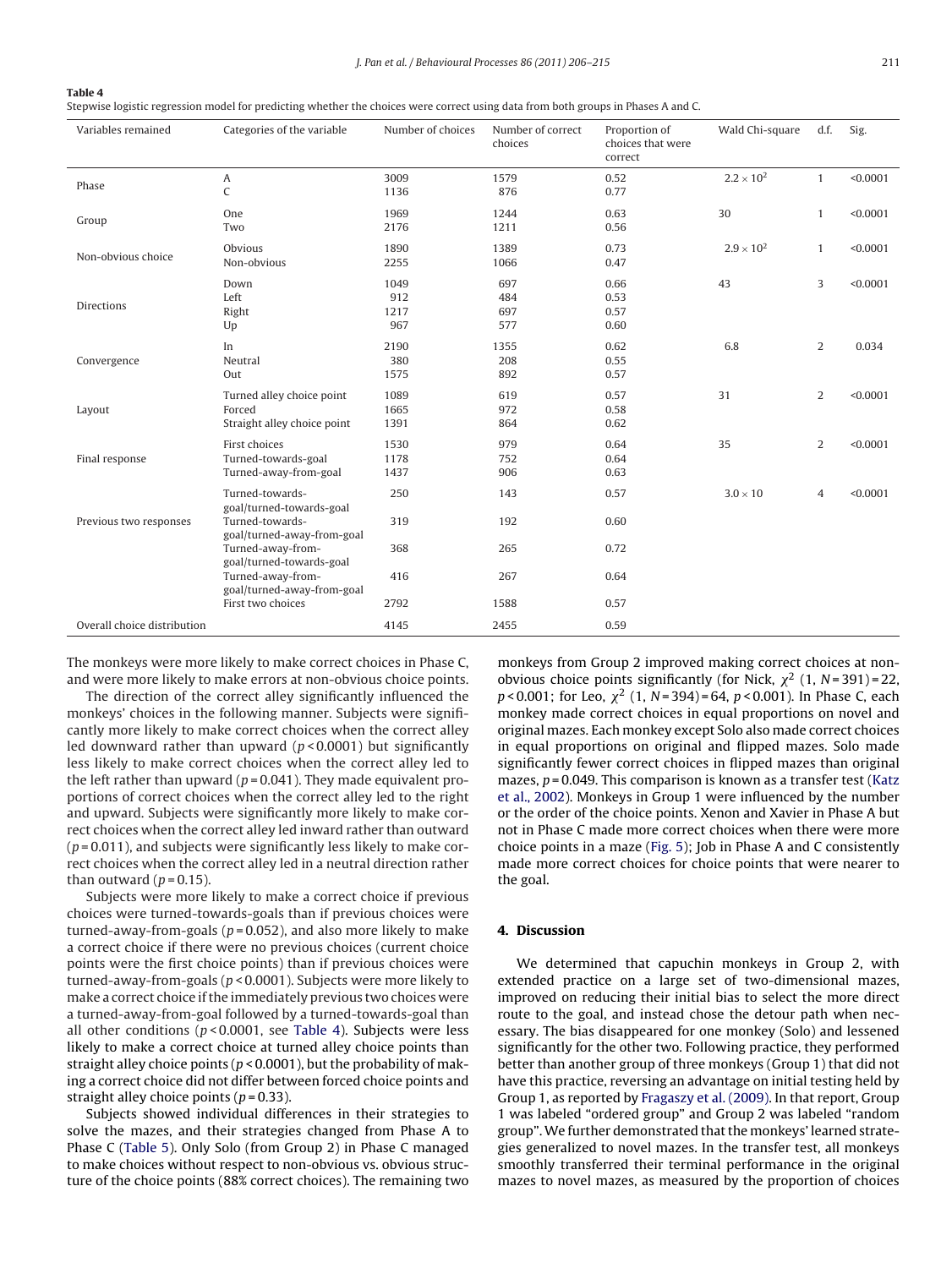#### <span id="page-5-0"></span>**Table 4**

Stepwise logistic regression model for predicting whether the choices were correct using data from both groups in Phases A and C.

| Variables remained          | Categories of the variable                                                  | Number of choices          | Number of correct<br>choices | Proportion of<br>choices that were<br>correct | Wald Chi-square     | d.f.           | Sig.     |
|-----------------------------|-----------------------------------------------------------------------------|----------------------------|------------------------------|-----------------------------------------------|---------------------|----------------|----------|
| Phase                       | A<br>C                                                                      | 3009<br>1136               | 1579<br>876                  | 0.52<br>0.77                                  | $2.2 \times 10^{2}$ | $\mathbf{1}$   | < 0.0001 |
| Group                       | One<br>Two                                                                  | 1969<br>2176               | 1244<br>1211                 | 0.63<br>0.56                                  | 30                  | $\mathbf{1}$   | < 0.0001 |
| Non-obvious choice          | Obvious<br>Non-obvious                                                      | 1890<br>2255               | 1389<br>1066                 | 0.73<br>0.47                                  | $2.9 \times 10^{2}$ | $\mathbf{1}$   | < 0.0001 |
| <b>Directions</b>           | Down<br>Left<br>Right<br>Up                                                 | 1049<br>912<br>1217<br>967 | 697<br>484<br>697<br>577     | 0.66<br>0.53<br>0.57<br>0.60                  | 43                  | 3              | < 0.0001 |
| Convergence                 | In<br>Neutral<br>Out                                                        | 2190<br>380<br>1575        | 1355<br>208<br>892           | 0.62<br>0.55<br>0.57                          | 6.8                 | 2              | 0.034    |
| Layout                      | Turned alley choice point<br>Forced<br>Straight alley choice point          | 1089<br>1665<br>1391       | 619<br>972<br>864            | 0.57<br>0.58<br>0.62                          | 31                  | $\overline{2}$ | < 0.0001 |
| Final response              | First choices<br>Turned-towards-goal<br>Turned-away-from-goal               | 1530<br>1178<br>1437       | 979<br>752<br>906            | 0.64<br>0.64<br>0.63                          | 35                  | $\overline{2}$ | < 0.0001 |
| Previous two responses      | Turned-towards-<br>goal/turned-towards-goal<br>Turned-towards-              | 250<br>319                 | 143<br>192                   | 0.57<br>0.60                                  | $3.0 \times 10$     | 4              | < 0.0001 |
|                             | goal/turned-away-from-goal<br>Turned-away-from-<br>goal/turned-towards-goal | 368                        | 265                          | 0.72                                          |                     |                |          |
|                             | Turned-away-from-<br>goal/turned-away-from-goal                             | 416                        | 267                          | 0.64                                          |                     |                |          |
|                             | First two choices                                                           | 2792                       | 1588                         | 0.57                                          |                     |                |          |
| Overall choice distribution |                                                                             | 4145                       | 2455                         | 0.59                                          |                     |                |          |

The monkeys were more likely to make correct choices in Phase C, and were more likely to make errors at non-obvious choice points.

The direction of the correct alley significantly influenced the monkeys' choices in the following manner. Subjects were significantly more likely to make correct choices when the correct alley led downward rather than upward ( $p$  < 0.0001) but significantly less likely to make correct choices when the correct alley led to the left rather than upward ( $p = 0.041$ ). They made equivalent proportions of correct choices when the correct alley led to the right and upward. Subjects were significantly more likely to make correct choices when the correct alley led inward rather than outward  $(p = 0.011)$ , and subjects were significantly less likely to make correct choices when the correct alley led in a neutral direction rather than outward ( $p = 0.15$ ).

Subjects were more likely to make a correct choice if previous choices were turned-towards-goals than if previous choices were turned-away-from-goals ( $p = 0.052$ ), and also more likely to make a correct choice if there were no previous choices (current choice points were the first choice points) than if previous choices were turned-away-from-goals (p < 0.0001). Subjects were more likely to make a correct choice if the immediately previous two choices were a turned-away-from-goal followed by a turned-towards-goal than all other conditions ( $p$  < 0.0001, see Table 4). Subjects were less likely to make a correct choice at turned alley choice points than straight alley choice points ( $p$  < 0.0001), but the probability of making a correct choice did not differ between forced choice points and straight alley choice points ( $p = 0.33$ ).

Subjects showed individual differences in their strategies to solve the mazes, and their strategies changed from Phase A to Phase C ([Table 5\).](#page-6-0) Only Solo (from Group 2) in Phase C managed to make choices without respect to non-obvious vs. obvious structure of the choice points (88% correct choices). The remaining two monkeys from Group 2 improved making correct choices at nonobvious choice points significantly (for Nick,  $\chi^2$  (1, N=391)=22,  $p < 0.001$ ; for Leo,  $\chi^2$  (1, N = 394) = 64,  $p < 0.001$ ). In Phase C, each monkey made correct choices in equal proportions on novel and original mazes. Each monkey except Solo also made correct choices in equal proportions on original and flipped mazes. Solo made significantly fewer correct choices in flipped mazes than original mazes,  $p = 0.049$ . This comparison is known as a transfer test [\(Katz](#page-9-0) [et al., 2002\).](#page-9-0) Monkeys in Group 1 were influenced by the number or the order of the choice points. Xenon and Xavier in Phase A but not in Phase C made more correct choices when there were more choice points in a maze [\(Fig. 5\);](#page-7-0) Job in Phase A and C consistently made more correct choices for choice points that were nearer to the goal.

### **4. Discussion**

We determined that capuchin monkeys in Group 2, with extended practice on a large set of two-dimensional mazes, improved on reducing their initial bias to select the more direct route to the goal, and instead chose the detour path when necessary. The bias disappeared for one monkey (Solo) and lessened significantly for the other two. Following practice, they performed better than another group of three monkeys (Group 1) that did not have this practice, reversing an advantage on initial testing held by Group 1, as reported by [Fragaszy et al. \(2009\). I](#page-9-0)n that report, Group 1 was labeled "ordered group" and Group 2 was labeled "random group".We further demonstrated that the monkeys' learned strategies generalized to novel mazes. In the transfer test, all monkeys smoothly transferred their terminal performance in the original mazes to novel mazes, as measured by the proportion of choices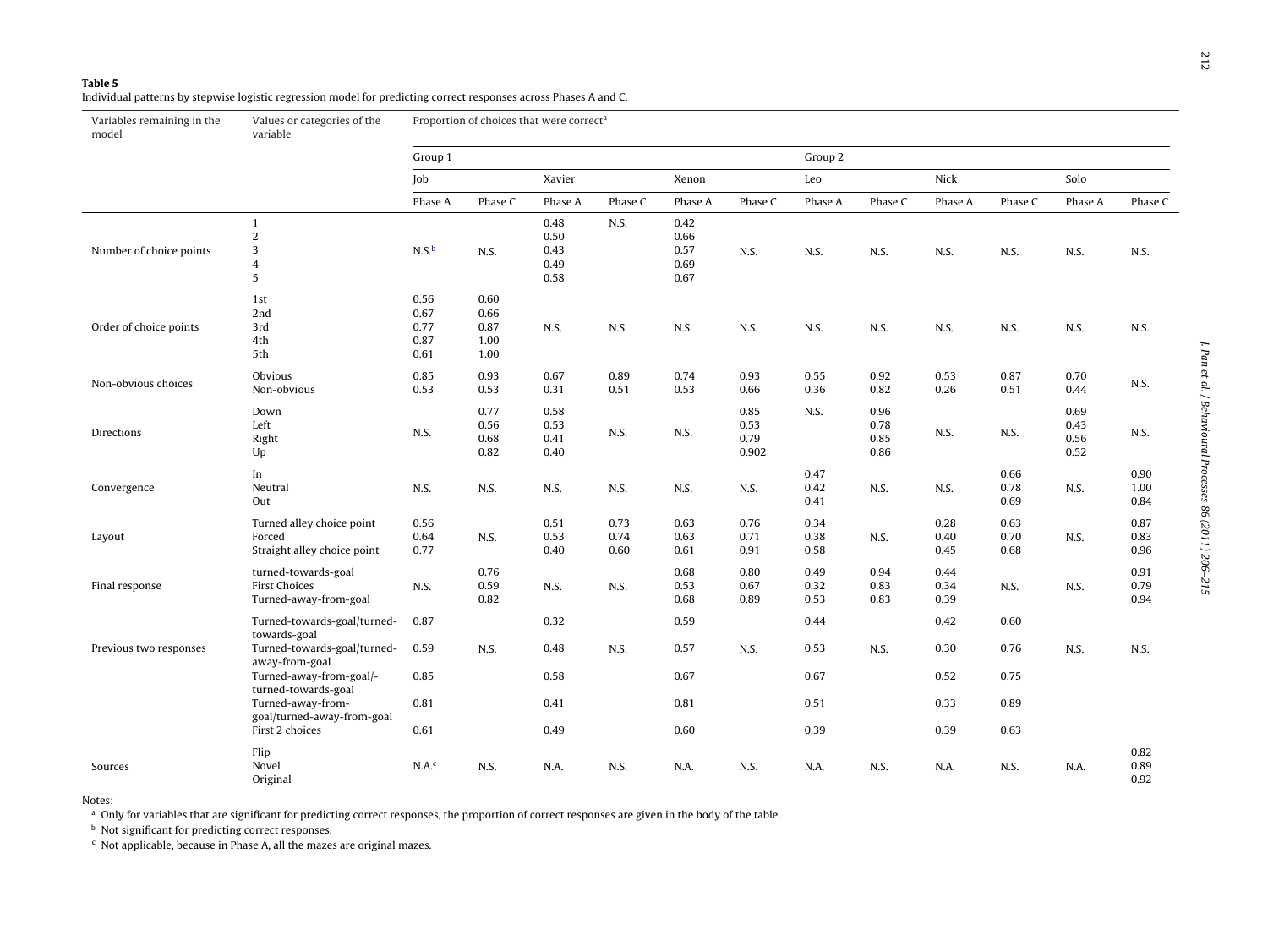<span id="page-6-0"></span>

| Variables remaining in the<br>model | Values or categories of the<br>variable                              | Proportion of choices that were correct <sup>a</sup> |                                      |                                      |                      |                                      |                               |                      |                              |                      |                      |                              |                      |
|-------------------------------------|----------------------------------------------------------------------|------------------------------------------------------|--------------------------------------|--------------------------------------|----------------------|--------------------------------------|-------------------------------|----------------------|------------------------------|----------------------|----------------------|------------------------------|----------------------|
|                                     |                                                                      | Group 1                                              |                                      |                                      |                      |                                      |                               | Group 2              |                              |                      |                      |                              |                      |
|                                     |                                                                      | Job                                                  |                                      | Xavier                               |                      | Xenon                                | Leo                           |                      | Nick                         |                      | Solo                 |                              |                      |
|                                     |                                                                      | Phase A                                              | Phase C                              | Phase A                              | Phase C              | Phase A                              | Phase C                       | Phase A              | Phase C                      | Phase A              | Phase C              | Phase A                      | Phase C              |
| Number of choice points             | $\mathbf{1}$<br>2<br>3<br>$\overline{4}$<br>5                        | N.S. <sup>b</sup>                                    | N.S.                                 | 0.48<br>0.50<br>0.43<br>0.49<br>0.58 | N.S.                 | 0.42<br>0.66<br>0.57<br>0.69<br>0.67 | N.S.                          | N.S.                 | N.S.                         | N.S.                 | N.S.                 | N.S.                         | N.S.                 |
| Order of choice points              | 1st<br>2nd<br>3rd<br>4th<br>5th                                      | 0.56<br>0.67<br>0.77<br>0.87<br>0.61                 | 0.60<br>0.66<br>0.87<br>1.00<br>1.00 | N.S.                                 | N.S.                 | N.S.                                 | N.S.                          | N.S.                 | N.S.                         | N.S.                 | N.S.                 | N.S.                         | N.S.                 |
| Non-obvious choices                 | Obvious<br>Non-obvious                                               | 0.85<br>0.53                                         | 0.93<br>0.53                         | 0.67<br>0.31                         | 0.89<br>0.51         | 0.74<br>0.53                         | 0.93<br>0.66                  | 0.55<br>0.36         | 0.92<br>0.82                 | 0.53<br>0.26         | 0.87<br>0.51         | 0.70<br>0.44                 | N.S.                 |
| Directions                          | Down<br>Left<br>Right<br>Up                                          | N.S.                                                 | 0.77<br>0.56<br>0.68<br>0.82         | 0.58<br>0.53<br>0.41<br>0.40         | N.S.                 | N.S.                                 | 0.85<br>0.53<br>0.79<br>0.902 | N.S.                 | 0.96<br>0.78<br>0.85<br>0.86 | N.S.                 | N.S.                 | 0.69<br>0.43<br>0.56<br>0.52 | N.S.                 |
| Convergence                         | In<br>Neutral<br>Out                                                 | N.S.                                                 | N.S.                                 | N.S.                                 | N.S.                 | N.S.                                 | N.S.                          | 0.47<br>0.42<br>0.41 | N.S.                         | N.S.                 | 0.66<br>0.78<br>0.69 | N.S.                         | 0.90<br>1.00<br>0.84 |
| Layout                              | Turned alley choice point<br>Forced<br>Straight alley choice point   | 0.56<br>0.64<br>0.77                                 | N.S.                                 | 0.51<br>0.53<br>0.40                 | 0.73<br>0.74<br>0.60 | 0.63<br>0.63<br>0.61                 | 0.76<br>0.71<br>0.91          | 0.34<br>0.38<br>0.58 | N.S.                         | 0.28<br>0.40<br>0.45 | 0.63<br>0.70<br>0.68 | N.S.                         | 0.87<br>0.83<br>0.96 |
| Final response                      | turned-towards-goal<br><b>First Choices</b><br>Turned-away-from-goal | N.S.                                                 | 0.76<br>0.59<br>0.82                 | N.S.                                 | N.S.                 | 0.68<br>0.53<br>0.68                 | 0.80<br>0.67<br>0.89          | 0.49<br>0.32<br>0.53 | 0.94<br>0.83<br>0.83         | 0.44<br>0.34<br>0.39 | N.S.                 | N.S.                         | 0.91<br>0.79<br>0.94 |
|                                     | Turned-towards-goal/turned-                                          | 0.87                                                 |                                      | 0.32                                 |                      | 0.59                                 |                               | 0.44                 |                              | 0.42                 | 0.60                 |                              |                      |
| Previous two responses              | towards-goal<br>Turned-towards-goal/turned-<br>away-from-goal        | 0.59                                                 | N.S.                                 | 0.48                                 | N.S.                 | 0.57                                 | N.S.                          | 0.53                 | N.S.                         | 0.30                 | 0.76                 | N.S.                         | N.S.                 |
|                                     | Turned-away-from-goal/-<br>turned-towards-goal                       | 0.85                                                 |                                      | 0.58                                 |                      | 0.67                                 |                               | 0.67                 |                              | 0.52                 | 0.75                 |                              |                      |
|                                     | Turned-away-from-<br>goal/turned-away-from-goal<br>First 2 choices   | 0.81<br>0.61                                         |                                      | 0.41<br>0.49                         |                      | 0.81<br>0.60                         |                               | 0.51<br>0.39         |                              | 0.33<br>0.39         | 0.89<br>0.63         |                              |                      |
| Sources                             | Flip<br>Novel<br>Original                                            | N.A. <sup>c</sup>                                    | N.S.                                 | N.A.                                 | N.S.                 | N.A.                                 | N.S.                          | N.A.                 | N.S.                         | N.A.                 | N.S.                 | N.A.                         | 0.82<br>0.89<br>0.92 |

Notes:

<sup>a</sup> Only for variables that are significant for predicting correct responses, the proportion of correct responses are given in the body of the table.

**b** Not significant for predicting correct responses.

 $c$  Not applicable, because in Phase A, all the mazes are original mazes.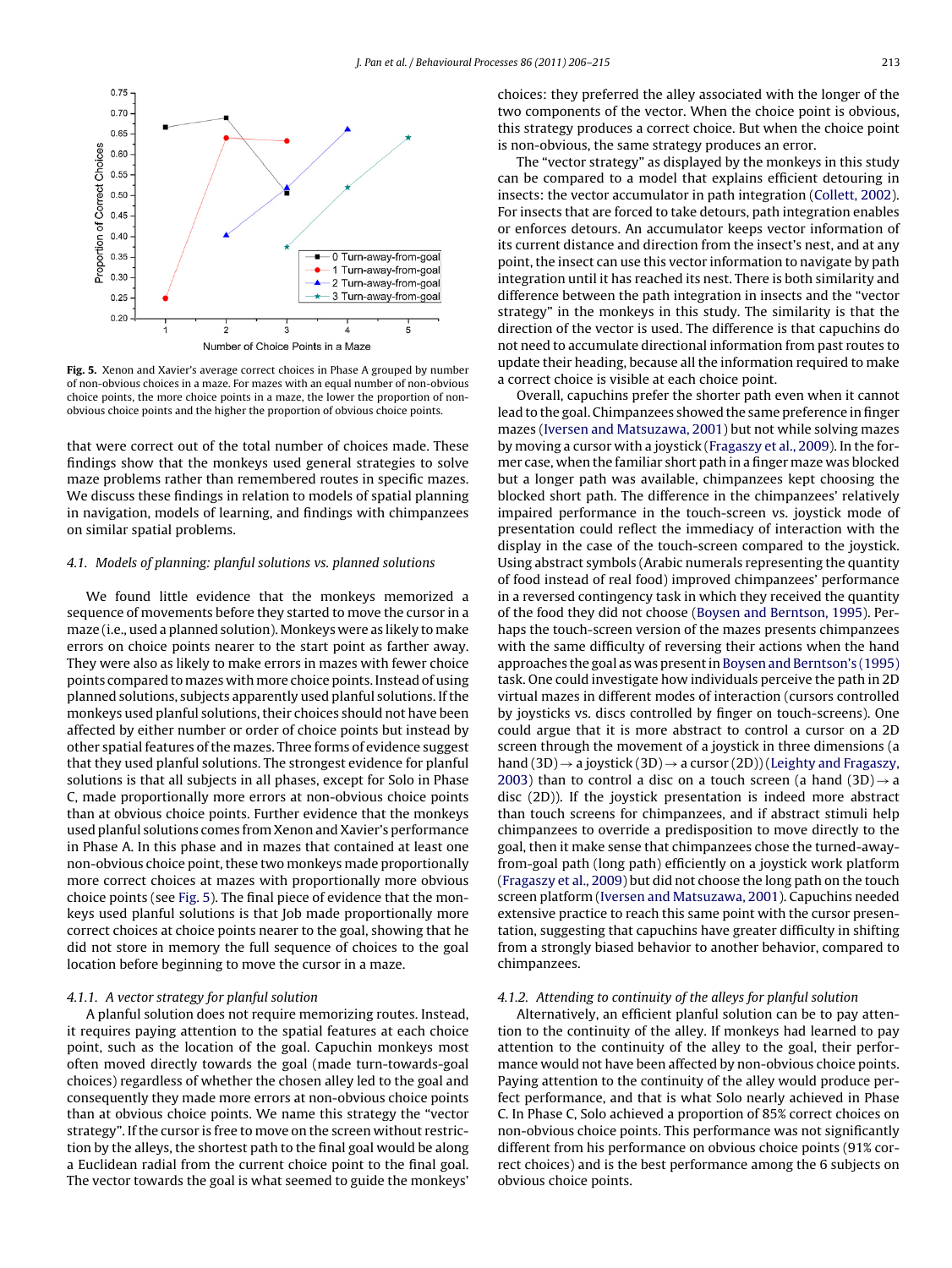<span id="page-7-0"></span>

**Fig. 5.** Xenon and Xavier's average correct choices in Phase A grouped by number of non-obvious choices in a maze. For mazes with an equal number of non-obvious choice points, the more choice points in a maze, the lower the proportion of nonobvious choice points and the higher the proportion of obvious choice points.

that were correct out of the total number of choices made. These findings show that the monkeys used general strategies to solve maze problems rather than remembered routes in specific mazes. We discuss these findings in relation to models of spatial planning in navigation, models of learning, and findings with chimpanzees on similar spatial problems.

#### 4.1. Models of planning: planful solutions vs. planned solutions

We found little evidence that the monkeys memorized a sequence of movements before they started to move the cursor in a maze (i.e., used a planned solution). Monkeys were as likely to make errors on choice points nearer to the start point as farther away. They were also as likely to make errors in mazes with fewer choice points compared to mazes with more choice points. Instead of using planned solutions, subjects apparently used planful solutions. If the monkeys used planful solutions, their choices should not have been affected by either number or order of choice points but instead by other spatial features of the mazes. Three forms of evidence suggest that they used planful solutions. The strongest evidence for planful solutions is that all subjects in all phases, except for Solo in Phase C, made proportionally more errors at non-obvious choice points than at obvious choice points. Further evidence that the monkeys used planful solutions comes from Xenon and Xavier's performance in Phase A. In this phase and in mazes that contained at least one non-obvious choice point, these two monkeys made proportionally more correct choices at mazes with proportionally more obvious choice points (see Fig. 5). The final piece of evidence that the monkeys used planful solutions is that Job made proportionally more correct choices at choice points nearer to the goal, showing that he did not store in memory the full sequence of choices to the goal location before beginning to move the cursor in a maze.

# 4.1.1. A vector strategy for planful solution

A planful solution does not require memorizing routes. Instead, it requires paying attention to the spatial features at each choice point, such as the location of the goal. Capuchin monkeys most often moved directly towards the goal (made turn-towards-goal choices) regardless of whether the chosen alley led to the goal and consequently they made more errors at non-obvious choice points than at obvious choice points. We name this strategy the "vector strategy". If the cursor is free to move on the screen without restriction by the alleys, the shortest path to the final goal would be along a Euclidean radial from the current choice point to the final goal. The vector towards the goal is what seemed to guide the monkeys' choices: they preferred the alley associated with the longer of the two components of the vector. When the choice point is obvious, this strategy produces a correct choice. But when the choice point is non-obvious, the same strategy produces an error.

The "vector strategy" as displayed by the monkeys in this study can be compared to a model that explains efficient detouring in insects: the vector accumulator in path integration ([Collett, 2002\).](#page-9-0) For insects that are forced to take detours, path integration enables or enforces detours. An accumulator keeps vector information of its current distance and direction from the insect's nest, and at any point, the insect can use this vector information to navigate by path integration until it has reached its nest. There is both similarity and difference between the path integration in insects and the "vector strategy" in the monkeys in this study. The similarity is that the direction of the vector is used. The difference is that capuchins do not need to accumulate directional information from past routes to update their heading, because all the information required to make a correct choice is visible at each choice point.

Overall, capuchins prefer the shorter path even when it cannot lead to the goal. Chimpanzees showed the same preference in finger mazes [\(Iversen and Matsuzawa, 2001\)](#page-9-0) but not while solving mazes by moving a cursor with a joystick ([Fragaszy et al., 2009\).](#page-9-0) In the former case, when the familiar short path in a finger maze was blocked but a longer path was available, chimpanzees kept choosing the blocked short path. The difference in the chimpanzees' relatively impaired performance in the touch-screen vs. joystick mode of presentation could reflect the immediacy of interaction with the display in the case of the touch-screen compared to the joystick. Using abstract symbols (Arabic numerals representing the quantity of food instead of real food) improved chimpanzees' performance in a reversed contingency task in which they received the quantity of the food they did not choose [\(Boysen and Berntson, 1995\).](#page-9-0) Perhaps the touch-screen version of the mazes presents chimpanzees with the same difficulty of reversing their actions when the hand approaches the goal as was present in [Boysen and Berntson's \(1995\)](#page-9-0) task. One could investigate how individuals perceive the path in 2D virtual mazes in different modes of interaction (cursors controlled by joysticks vs. discs controlled by finger on touch-screens). One could argue that it is more abstract to control a cursor on a 2D screen through the movement of a joystick in three dimensions (a hand  $(3D) \rightarrow a$  joystick  $(3D) \rightarrow a$  cursor  $(2D)$ ) [\(Leighty and Fragaszy,](#page-9-0) [2003\)](#page-9-0) than to control a disc on a touch screen (a hand  $(3D) \rightarrow a$ disc (2D)). If the joystick presentation is indeed more abstract than touch screens for chimpanzees, and if abstract stimuli help chimpanzees to override a predisposition to move directly to the goal, then it make sense that chimpanzees chose the turned-awayfrom-goal path (long path) efficiently on a joystick work platform [\(Fragaszy et al., 2009\)](#page-9-0) but did not choose the long path on the touch screen platform ([Iversen and Matsuzawa, 2001\).](#page-9-0) Capuchins needed extensive practice to reach this same point with the cursor presentation, suggesting that capuchins have greater difficulty in shifting from a strongly biased behavior to another behavior, compared to chimpanzees.

#### 4.1.2. Attending to continuity of the alleys for planful solution

Alternatively, an efficient planful solution can be to pay attention to the continuity of the alley. If monkeys had learned to pay attention to the continuity of the alley to the goal, their performance would not have been affected by non-obvious choice points. Paying attention to the continuity of the alley would produce perfect performance, and that is what Solo nearly achieved in Phase C. In Phase C, Solo achieved a proportion of 85% correct choices on non-obvious choice points. This performance was not significantly different from his performance on obvious choice points (91% correct choices) and is the best performance among the 6 subjects on obvious choice points.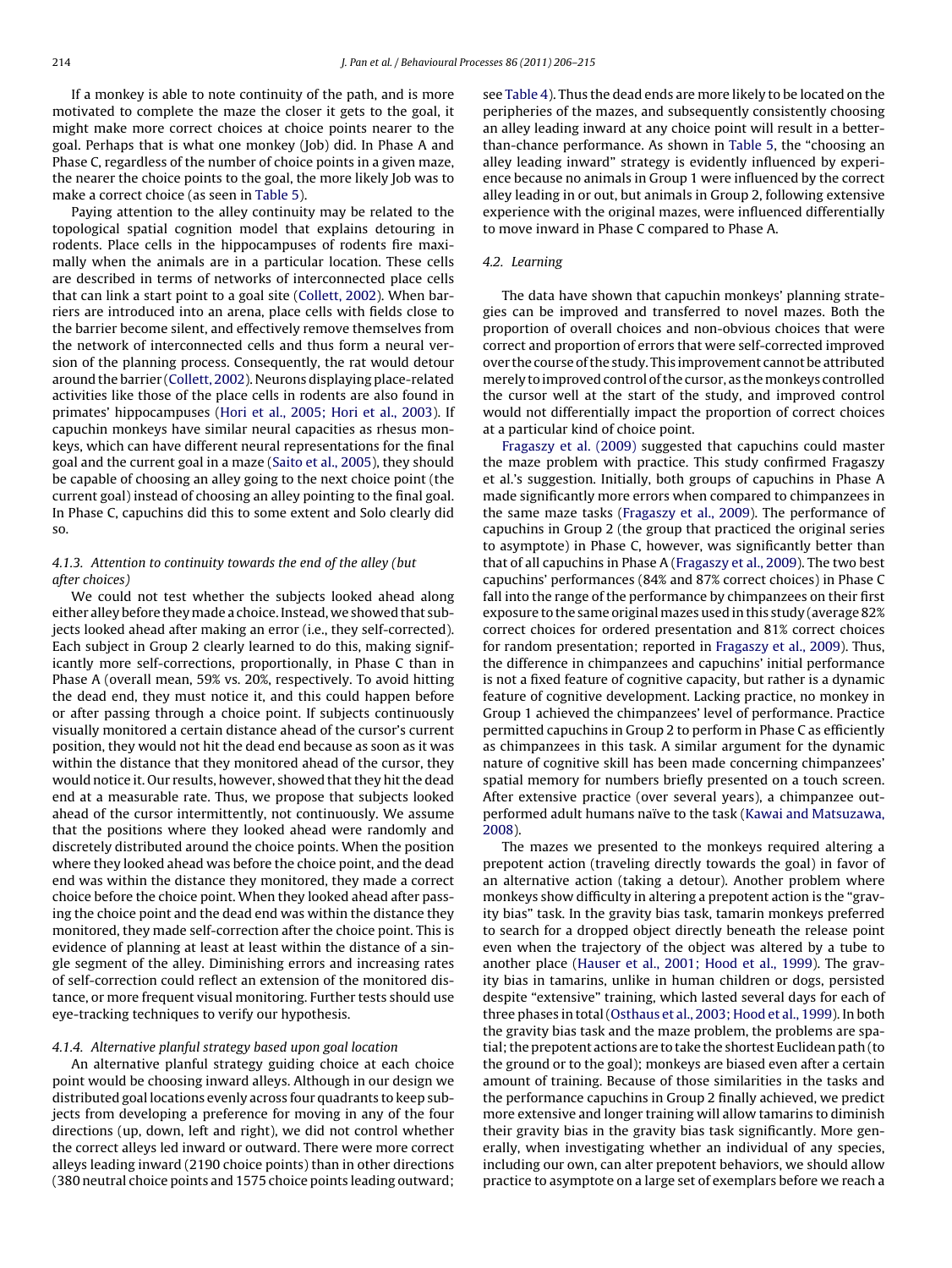If a monkey is able to note continuity of the path, and is more motivated to complete the maze the closer it gets to the goal, it might make more correct choices at choice points nearer to the goal. Perhaps that is what one monkey (Job) did. In Phase A and Phase C, regardless of the number of choice points in a given maze, the nearer the choice points to the goal, the more likely Job was to make a correct choice (as seen in [Table 5\).](#page-6-0)

Paying attention to the alley continuity may be related to the topological spatial cognition model that explains detouring in rodents. Place cells in the hippocampuses of rodents fire maximally when the animals are in a particular location. These cells are described in terms of networks of interconnected place cells that can link a start point to a goal site ([Collett, 2002\).](#page-9-0) When barriers are introduced into an arena, place cells with fields close to the barrier become silent, and effectively remove themselves from the network of interconnected cells and thus form a neural version of the planning process. Consequently, the rat would detour around the barrier ([Collett, 2002\).](#page-9-0) Neurons displaying place-related activities like those of the place cells in rodents are also found in primates' hippocampuses ([Hori et al., 2005; Hori et al., 2003\).](#page-9-0) If capuchin monkeys have similar neural capacities as rhesus monkeys, which can have different neural representations for the final goal and the current goal in a maze ([Saito et al., 2005\),](#page-9-0) they should be capable of choosing an alley going to the next choice point (the current goal) instead of choosing an alley pointing to the final goal. In Phase C, capuchins did this to some extent and Solo clearly did so.

# 4.1.3. Attention to continuity towards the end of the alley (but after choices)

We could not test whether the subjects looked ahead along either alley before theymade a choice. Instead, we showed that subjects looked ahead after making an error (i.e., they self-corrected). Each subject in Group 2 clearly learned to do this, making significantly more self-corrections, proportionally, in Phase C than in Phase A (overall mean, 59% vs. 20%, respectively. To avoid hitting the dead end, they must notice it, and this could happen before or after passing through a choice point. If subjects continuously visually monitored a certain distance ahead of the cursor's current position, they would not hit the dead end because as soon as it was within the distance that they monitored ahead of the cursor, they would notice it. Our results, however, showed that they hit the dead end at a measurable rate. Thus, we propose that subjects looked ahead of the cursor intermittently, not continuously. We assume that the positions where they looked ahead were randomly and discretely distributed around the choice points. When the position where they looked ahead was before the choice point, and the dead end was within the distance they monitored, they made a correct choice before the choice point. When they looked ahead after passing the choice point and the dead end was within the distance they monitored, they made self-correction after the choice point. This is evidence of planning at least at least within the distance of a single segment of the alley. Diminishing errors and increasing rates of self-correction could reflect an extension of the monitored distance, or more frequent visual monitoring. Further tests should use eye-tracking techniques to verify our hypothesis.

#### 4.1.4. Alternative planful strategy based upon goal location

An alternative planful strategy guiding choice at each choice point would be choosing inward alleys. Although in our design we distributed goal locations evenly across four quadrants to keep subjects from developing a preference for moving in any of the four directions (up, down, left and right), we did not control whether the correct alleys led inward or outward. There were more correct alleys leading inward (2190 choice points) than in other directions (380 neutral choice points and 1575 choice points leading outward; see [Table 4\).](#page-5-0) Thus the dead ends are more likely to be located on the peripheries of the mazes, and subsequently consistently choosing an alley leading inward at any choice point will result in a betterthan-chance performance. As shown in [Table 5, t](#page-6-0)he "choosing an alley leading inward" strategy is evidently influenced by experience because no animals in Group 1 were influenced by the correct alley leading in or out, but animals in Group 2, following extensive experience with the original mazes, were influenced differentially to move inward in Phase C compared to Phase A.

## 4.2. Learning

The data have shown that capuchin monkeys' planning strategies can be improved and transferred to novel mazes. Both the proportion of overall choices and non-obvious choices that were correct and proportion of errors that were self-corrected improved over the course of the study. This improvement cannot be attributed merely to improved control of the cursor, as the monkeys controlled the cursor well at the start of the study, and improved control would not differentially impact the proportion of correct choices at a particular kind of choice point.

[Fragaszy et al. \(2009\)](#page-9-0) suggested that capuchins could master the maze problem with practice. This study confirmed Fragaszy et al.'s suggestion. Initially, both groups of capuchins in Phase A made significantly more errors when compared to chimpanzees in the same maze tasks ([Fragaszy et al., 2009\).](#page-9-0) The performance of capuchins in Group 2 (the group that practiced the original series to asymptote) in Phase C, however, was significantly better than that of all capuchins in Phase A [\(Fragaszy et al., 2009\).](#page-9-0) The two best capuchins' performances (84% and 87% correct choices) in Phase C fall into the range of the performance by chimpanzees on their first exposure to the same original mazes used in this study (average 82% correct choices for ordered presentation and 81% correct choices for random presentation; reported in [Fragaszy et al., 2009\).](#page-9-0) Thus, the difference in chimpanzees and capuchins' initial performance is not a fixed feature of cognitive capacity, but rather is a dynamic feature of cognitive development. Lacking practice, no monkey in Group 1 achieved the chimpanzees' level of performance. Practice permitted capuchins in Group 2 to perform in Phase C as efficiently as chimpanzees in this task. A similar argument for the dynamic nature of cognitive skill has been made concerning chimpanzees' spatial memory for numbers briefly presented on a touch screen. After extensive practice (over several years), a chimpanzee outperformed adult humans naïve to the task [\(Kawai and Matsuzawa,](#page-9-0) [2008\).](#page-9-0)

The mazes we presented to the monkeys required altering a prepotent action (traveling directly towards the goal) in favor of an alternative action (taking a detour). Another problem where monkeys show difficulty in altering a prepotent action is the "gravity bias" task. In the gravity bias task, tamarin monkeys preferred to search for a dropped object directly beneath the release point even when the trajectory of the object was altered by a tube to another place ([Hauser et al., 2001; Hood et al., 1999\).](#page-9-0) The gravity bias in tamarins, unlike in human children or dogs, persisted despite "extensive" training, which lasted several days for each of three phases in total [\(Osthaus et al., 2003; Hood et al., 1999\).](#page-9-0) In both the gravity bias task and the maze problem, the problems are spatial; the prepotent actions are to take the shortest Euclidean path (to the ground or to the goal); monkeys are biased even after a certain amount of training. Because of those similarities in the tasks and the performance capuchins in Group 2 finally achieved, we predict more extensive and longer training will allow tamarins to diminish their gravity bias in the gravity bias task significantly. More generally, when investigating whether an individual of any species, including our own, can alter prepotent behaviors, we should allow practice to asymptote on a large set of exemplars before we reach a